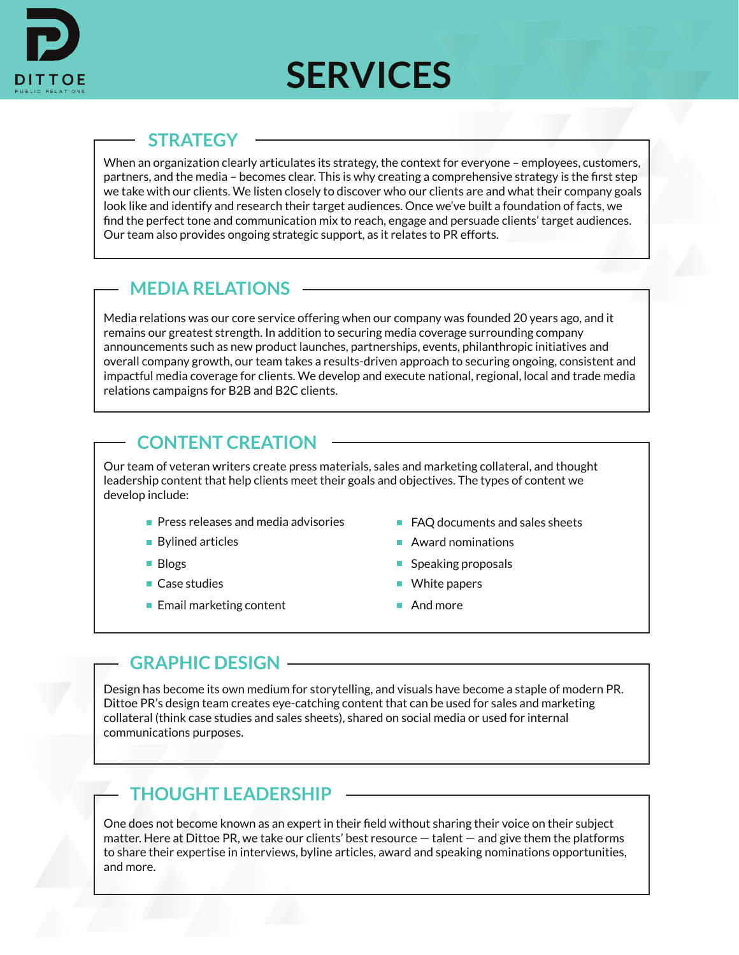

# **SERVICES**

## **STRATEGY**

When an organization clearly articulates its strategy, the context for everyone – employees, customers, partners, and the media – becomes clear. This is why creating a comprehensive strategy is the first step we take with our clients. We listen closely to discover who our clients are and what their company goals look like and identify and research their target audiences. Once we've built a foundation of facts, we find the perfect tone and communication mix to reach, engage and persuade clients' target audiences. Our team also provides ongoing strategic support, as it relates to PR efforts.

# **MEDIA RELATIONS**

Media relations was our core service offering when our company was founded 20 years ago, and it remains our greatest strength. In addition to securing media coverage surrounding company announcements such as new product launches, partnerships, events, philanthropic initiatives and overall company growth, our team takes a results-driven approach to securing ongoing, consistent and impactful media coverage for clients. We develop and execute national, regional, local and trade media relations campaigns for B2B and B2C clients.

# **CONTENT CREATION**

Our team of veteran writers create press materials, sales and marketing collateral, and thought leadership content that help clients meet their goals and objectives. The types of content we develop include:

- **Press releases and media advisories**
- Bylined articles
- **Blogs**
- Case studies
- $\blacksquare$  Email marketing content
- FAQ documents and sales sheets
- Award nominations
- $\blacksquare$  Speaking proposals
- White papers
- And more

# **GRAPHIC DESIGN**

Design has become its own medium for storytelling, and visuals have become a staple of modern PR. Dittoe PR's design team creates eye-catching content that can be used for sales and marketing collateral (think case studies and sales sheets), shared on social media or used for internal communications purposes.

# **THOUGHT LEADERSHIP**

One does not become known as an expert in their field without sharing their voice on their subject matter. Here at Dittoe PR, we take our clients' best resource — talent — and give them the platforms to share their expertise in interviews, byline articles, award and speaking nominations opportunities, and more.